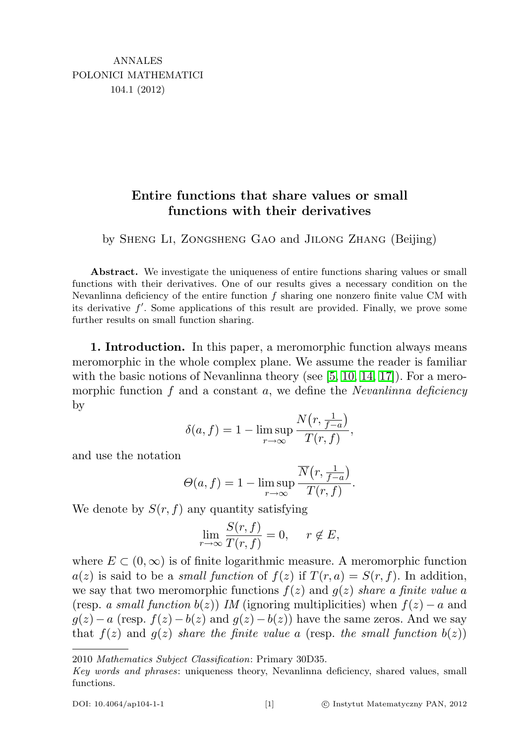## Entire functions that share values or small functions with their derivatives

by Sheng Li, Zongsheng Gao and Jilong Zhang (Beijing)

Abstract. We investigate the uniqueness of entire functions sharing values or small functions with their derivatives. One of our results gives a necessary condition on the Nevanlinna deficiency of the entire function  $f$  sharing one nonzero finite value CM with its derivative  $f'$ . Some applications of this result are provided. Finally, we prove some further results on small function sharing.

1. Introduction. In this paper, a meromorphic function always means meromorphic in the whole complex plane. We assume the reader is familiar with the basic notions of Nevanlinna theory (see  $[5, 10, 14, 17]$  $[5, 10, 14, 17]$  $[5, 10, 14, 17]$  $[5, 10, 14, 17]$ ). For a meromorphic function  $f$  and a constant  $a$ , we define the *Nevanlinna deficiency* by

$$
\delta(a, f) = 1 - \limsup_{r \to \infty} \frac{N(r, \frac{1}{f-a})}{T(r, f)},
$$

and use the notation

$$
\Theta(a, f) = 1 - \limsup_{r \to \infty} \frac{\overline{N}(r, \frac{1}{f-a})}{T(r, f)}.
$$

We denote by  $S(r, f)$  any quantity satisfying

$$
\lim_{r \to \infty} \frac{S(r, f)}{T(r, f)} = 0, \quad r \notin E,
$$

where  $E \subset (0,\infty)$  is of finite logarithmic measure. A meromorphic function  $a(z)$  is said to be a *small function* of  $f(z)$  if  $T(r, a) = S(r, f)$ . In addition, we say that two meromorphic functions  $f(z)$  and  $g(z)$  share a finite value a (resp. a small function  $b(z)$ ) IM (ignoring multiplicities) when  $f(z) - a$  and  $g(z) - a$  (resp.  $f(z) - b(z)$  and  $g(z) - b(z)$ ) have the same zeros. And we say that  $f(z)$  and  $g(z)$  share the finite value a (resp. the small function  $b(z)$ )

<sup>2010</sup> Mathematics Subject Classification: Primary 30D35.

Key words and phrases: uniqueness theory, Nevanlinna deficiency, shared values, small functions.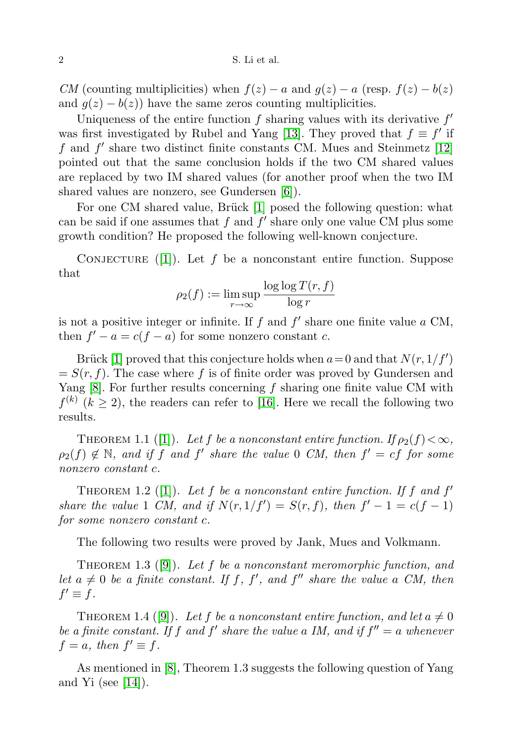CM (counting multiplicities) when  $f(z) - a$  and  $g(z) - a$  (resp.  $f(z) - b(z)$ ) and  $g(z) - b(z)$  have the same zeros counting multiplicities.

Uniqueness of the entire function  $f$  sharing values with its derivative  $f'$ was first investigated by Rubel and Yang [\[13\]](#page-10-4). They proved that  $f \equiv f'$  if  $f$  and  $f'$  share two distinct finite constants CM. Mues and Steinmetz [\[12\]](#page-10-5) pointed out that the same conclusion holds if the two CM shared values are replaced by two IM shared values (for another proof when the two IM shared values are nonzero, see Gundersen [\[6\]](#page-10-6)).

For one CM shared value, Brück [\[1\]](#page-10-7) posed the following question: what can be said if one assumes that  $f$  and  $f'$  share only one value CM plus some growth condition? He proposed the following well-known conjecture.

CONJECTURE ([\[1\]](#page-10-7)). Let f be a nonconstant entire function. Suppose that

$$
\rho_2(f) := \limsup_{r \to \infty} \frac{\log \log T(r, f)}{\log r}
$$

is not a positive integer or infinite. If  $f$  and  $f'$  share one finite value  $a$  CM, then  $f' - a = c(f - a)$  for some nonzero constant c.

Brück [\[1\]](#page-10-7) proved that this conjecture holds when  $a=0$  and that  $N(r, 1/f')$  $= S(r, f)$ . The case where f is of finite order was proved by Gundersen and Yang  $[8]$ . For further results concerning f sharing one finite value CM with  $f^{(k)}$  ( $k \geq 2$ ), the readers can refer to [\[16\]](#page-10-9). Here we recall the following two results.

THEOREM 1.1 ([\[1\]](#page-10-7)). Let f be a nonconstant entire function. If  $\rho_2(f) < \infty$ ,  $\rho_2(f) \notin \mathbb{N}$ , and if f and f' share the value 0 CM, then  $f' = cf$  for some nonzero constant c.

THEOREM 1.2 ([\[1\]](#page-10-7)). Let f be a nonconstant entire function. If f and  $f'$ share the value 1 CM, and if  $N(r, 1/f') = S(r, f)$ , then  $f' - 1 = c(f - 1)$ for some nonzero constant c.

The following two results were proved by Jank, Mues and Volkmann.

THEOREM 1.3 ([\[9\]](#page-10-10)). Let f be a nonconstant meromorphic function, and let  $a \neq 0$  be a finite constant. If f, f', and f'' share the value a CM, then  $f' \equiv f$ .

THEOREM 1.4 ([\[9\]](#page-10-10)). Let f be a nonconstant entire function, and let  $a \neq 0$ be a finite constant. If f and f' share the value a IM, and if  $f'' = a$  whenever  $f = a$ , then  $f' \equiv f$ .

As mentioned in [\[8\]](#page-10-8), Theorem 1.3 suggests the following question of Yang and Yi (see  $[14]$ ).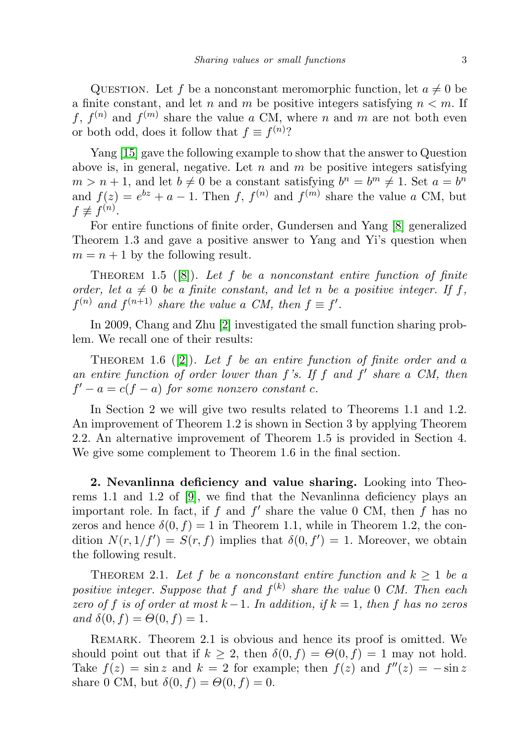QUESTION. Let f be a nonconstant meromorphic function, let  $a \neq 0$  be a finite constant, and let n and m be positive integers satisfying  $n < m$ . If f,  $f^{(n)}$  and  $f^{(m)}$  share the value a CM, where n and m are not both even or both odd, does it follow that  $f \equiv f^{(n)}$ ?

Yang [\[15\]](#page-10-11) gave the following example to show that the answer to Question above is, in general, negative. Let  $n$  and  $m$  be positive integers satisfying  $m > n + 1$ , and let  $b \neq 0$  be a constant satisfying  $b^n = b^m \neq 1$ . Set  $a = b^n$ and  $f(z) = e^{bz} + a - 1$ . Then f,  $f^{(n)}$  and  $f^{(m)}$  share the value a CM, but  $f \not\equiv f^{(n)}$ .

For entire functions of finite order, Gundersen and Yang [\[8\]](#page-10-8) generalized Theorem 1.3 and gave a positive answer to Yang and Yi's question when  $m = n + 1$  by the following result.

THEOREM 1.5 ([\[8\]](#page-10-8)). Let f be a nonconstant entire function of finite order, let  $a \neq 0$  be a finite constant, and let n be a positive integer. If f,  $f^{(n)}$  and  $f^{(n+1)}$  share the value a CM, then  $f \equiv f'$ .

In 2009, Chang and Zhu [\[2\]](#page-10-12) investigated the small function sharing problem. We recall one of their results:

THEOREM 1.6 ([\[2\]](#page-10-12)). Let f be an entire function of finite order and a an entire function of order lower than  $f$ 's. If  $f$  and  $f'$  share a CM, then  $f' - a = c(f - a)$  for some nonzero constant c.

In Section 2 we will give two results related to Theorems 1.1 and 1.2. An improvement of Theorem 1.2 is shown in Section 3 by applying Theorem 2.2. An alternative improvement of Theorem 1.5 is provided in Section 4. We give some complement to Theorem 1.6 in the final section.

2. Nevanlinna deficiency and value sharing. Looking into Theorems 1.1 and 1.2 of [\[9\]](#page-10-10), we find that the Nevanlinna deficiency plays an important role. In fact, if  $f$  and  $f'$  share the value 0 CM, then  $f$  has no zeros and hence  $\delta(0, f) = 1$  in Theorem 1.1, while in Theorem 1.2, the condition  $N(r, 1/f') = S(r, f)$  implies that  $\delta(0, f') = 1$ . Moreover, we obtain the following result.

THEOREM 2.1. Let f be a nonconstant entire function and  $k \geq 1$  be a positive integer. Suppose that f and  $f^{(k)}$  share the value 0 CM. Then each zero of f is of order at most  $k-1$ . In addition, if  $k = 1$ , then f has no zeros and  $\delta(0, f) = \Theta(0, f) = 1$ .

Remark. Theorem 2.1 is obvious and hence its proof is omitted. We should point out that if  $k \geq 2$ , then  $\delta(0, f) = \Theta(0, f) = 1$  may not hold. Take  $f(z) = \sin z$  and  $k = 2$  for example; then  $f(z)$  and  $f''(z) = -\sin z$ share 0 CM, but  $\delta(0, f) = \Theta(0, f) = 0$ .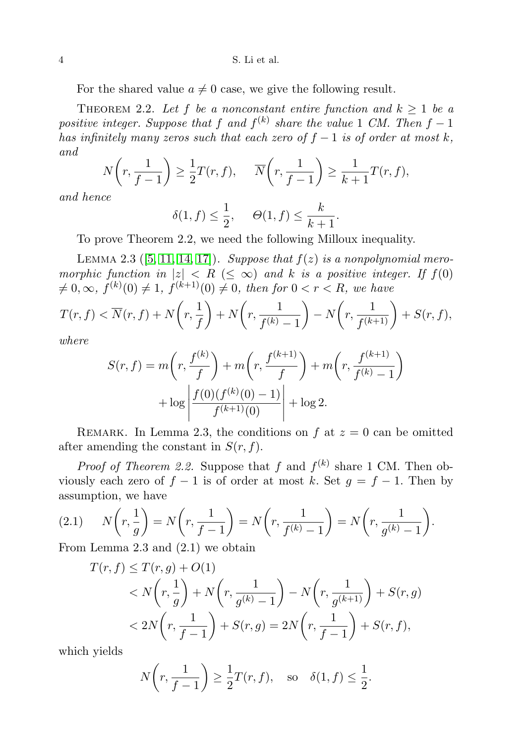4 S. Li et al.

For the shared value  $a \neq 0$  case, we give the following result.

THEOREM 2.2. Let f be a nonconstant entire function and  $k \geq 1$  be a positive integer. Suppose that f and  $f^{(k)}$  share the value 1 CM. Then  $f-1$ has infinitely many zeros such that each zero of  $f - 1$  is of order at most k, and

$$
N\left(r, \frac{1}{f-1}\right) \ge \frac{1}{2}T(r, f), \quad \overline{N}\left(r, \frac{1}{f-1}\right) \ge \frac{1}{k+1}T(r, f),
$$

and hence

$$
\delta(1, f) \le \frac{1}{2}, \quad \Theta(1, f) \le \frac{k}{k+1}.
$$

To prove Theorem 2.2, we need the following Milloux inequality.

LEMMA 2.3 ([\[5,](#page-10-0) [11,](#page-10-13) [14,](#page-10-2) [17\]](#page-10-3)). Suppose that  $f(z)$  is a nonpolynomial meromorphic function in  $|z| < R \leq \infty$ ) and k is a positive integer. If  $f(0)$  $\neq 0, \infty, f^{(k)}(0) \neq 1, f^{(k+1)}(0) \neq 0$ , then for  $0 < r < R$ , we have

$$
T(r, f) < \overline{N}(r, f) + N\left(r, \frac{1}{f}\right) + N\left(r, \frac{1}{f^{(k)} - 1}\right) - N\left(r, \frac{1}{f^{(k+1)}}\right) + S(r, f),
$$
\nwhere

where

$$
S(r, f) = m\left(r, \frac{f^{(k)}}{f}\right) + m\left(r, \frac{f^{(k+1)}}{f}\right) + m\left(r, \frac{f^{(k+1)}}{f^{(k)} - 1}\right) + \log \left|\frac{f(0)(f^{(k)}(0) - 1)}{f^{(k+1)}(0)}\right| + \log 2.
$$

REMARK. In Lemma 2.3, the conditions on f at  $z = 0$  can be omitted after amending the constant in  $S(r, f)$ .

*Proof of Theorem 2.2.* Suppose that f and  $f^{(k)}$  share 1 CM. Then obviously each zero of  $f - 1$  is of order at most k. Set  $g = f - 1$ . Then by assumption, we have

$$
(2.1) \qquad N\left(r, \frac{1}{g}\right) = N\left(r, \frac{1}{f-1}\right) = N\left(r, \frac{1}{f^{(k)}-1}\right) = N\left(r, \frac{1}{g^{(k)}-1}\right).
$$

From Lemma 2.3 and (2.1) we obtain

$$
T(r, f) \leq T(r, g) + O(1)
$$
  

$$
< N\left(r, \frac{1}{g}\right) + N\left(r, \frac{1}{g^{(k)} - 1}\right) - N\left(r, \frac{1}{g^{(k+1)}}\right) + S(r, g)
$$
  

$$
< 2N\left(r, \frac{1}{f - 1}\right) + S(r, g) = 2N\left(r, \frac{1}{f - 1}\right) + S(r, f),
$$

which yields

$$
N\left(r, \frac{1}{f-1}\right) \ge \frac{1}{2}T(r, f), \quad \text{so} \quad \delta(1, f) \le \frac{1}{2}.
$$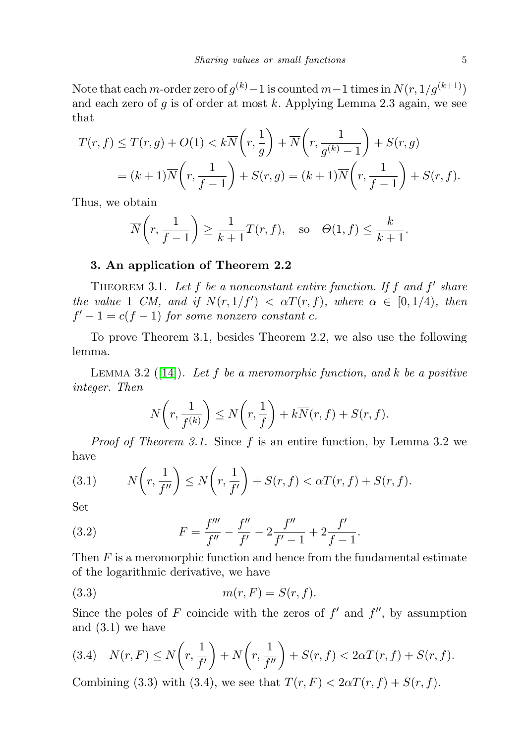Note that each m-order zero of  $g^{(k)}-1$  is counted  $m-1$  times in  $N(r, 1/g^{(k+1)})$ and each zero of  $g$  is of order at most  $k$ . Applying Lemma 2.3 again, we see that

$$
T(r, f) \leq T(r, g) + O(1) < k\overline{N}\left(r, \frac{1}{g}\right) + \overline{N}\left(r, \frac{1}{g^{(k)} - 1}\right) + S(r, g) \\
= (k+1)\overline{N}\left(r, \frac{1}{f-1}\right) + S(r, g) = (k+1)\overline{N}\left(r, \frac{1}{f-1}\right) + S(r, f).
$$

Thus, we obtain

$$
\overline{N}\left(r, \frac{1}{f-1}\right) \ge \frac{1}{k+1}T(r, f), \quad \text{so} \quad \Theta(1, f) \le \frac{k}{k+1}.
$$

## 3. An application of Theorem 2.2

THEOREM 3.1. Let  $f$  be a nonconstant entire function. If  $f$  and  $f'$  share the value 1 CM, and if  $N(r, 1/f') < \alpha T(r, f)$ , where  $\alpha \in [0, 1/4)$ , then  $f'-1 = c(f-1)$  for some nonzero constant c.

To prove Theorem 3.1, besides Theorem 2.2, we also use the following lemma.

LEMMA 3.2 ([\[14\]](#page-10-2)). Let f be a meromorphic function, and k be a positive integer. Then

$$
N\left(r, \frac{1}{f^{(k)}}\right) \le N\left(r, \frac{1}{f}\right) + k\overline{N}(r, f) + S(r, f).
$$

Proof of Theorem 3.1. Since f is an entire function, by Lemma 3.2 we have

(3.1) 
$$
N\left(r, \frac{1}{f''}\right) \le N\left(r, \frac{1}{f'}\right) + S(r, f) < \alpha T(r, f) + S(r, f).
$$

Set

(3.2) 
$$
F = \frac{f'''}{f''} - \frac{f''}{f'} - 2\frac{f''}{f'-1} + 2\frac{f'}{f-1}.
$$

Then  $F$  is a meromorphic function and hence from the fundamental estimate of the logarithmic derivative, we have

$$
(3.3) \t m(r, F) = S(r, f).
$$

Since the poles of F coincide with the zeros of  $f'$  and  $f''$ , by assumption and (3.1) we have

$$
(3.4) \quad N(r, F) \le N\left(r, \frac{1}{f'}\right) + N\left(r, \frac{1}{f''}\right) + S(r, f) < 2\alpha T(r, f) + S(r, f).
$$

Combining (3.3) with (3.4), we see that  $T(r, F) < 2\alpha T(r, f) + S(r, f)$ .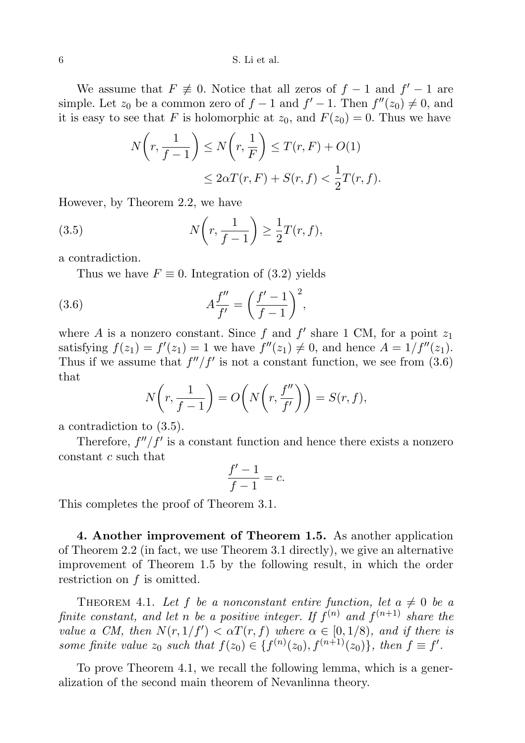## 6 S. Li et al.

We assume that  $F \neq 0$ . Notice that all zeros of  $f - 1$  and  $f' - 1$  are simple. Let  $z_0$  be a common zero of  $f-1$  and  $f'-1$ . Then  $f''(z_0) \neq 0$ , and it is easy to see that F is holomorphic at  $z_0$ , and  $F(z_0) = 0$ . Thus we have

$$
N\left(r, \frac{1}{f-1}\right) \le N\left(r, \frac{1}{F}\right) \le T(r, F) + O(1)
$$
  

$$
\le 2\alpha T(r, F) + S(r, f) < \frac{1}{2}T(r, f).
$$

However, by Theorem 2.2, we have

(3.5) 
$$
N\left(r,\frac{1}{f-1}\right) \geq \frac{1}{2}T(r,f),
$$

a contradiction.

Thus we have  $F \equiv 0$ . Integration of (3.2) yields

(3.6) 
$$
A \frac{f''}{f'} = \left(\frac{f'-1}{f-1}\right)^2,
$$

where A is a nonzero constant. Since f and  $f'$  share 1 CM, for a point  $z_1$ satisfying  $f(z_1) = f'(z_1) = 1$  we have  $f''(z_1) \neq 0$ , and hence  $A = 1/f''(z_1)$ . Thus if we assume that  $f''/f'$  is not a constant function, we see from (3.6) that

$$
N\left(r, \frac{1}{f-1}\right) = O\left(N\left(r, \frac{f''}{f'}\right)\right) = S(r, f),
$$

a contradiction to (3.5).

Therefore,  $f''/f'$  is a constant function and hence there exists a nonzero constant c such that

$$
\frac{f'-1}{f-1} = c.
$$

This completes the proof of Theorem 3.1.

4. Another improvement of Theorem 1.5. As another application of Theorem 2.2 (in fact, we use Theorem 3.1 directly), we give an alternative improvement of Theorem 1.5 by the following result, in which the order restriction on  $f$  is omitted.

THEOREM 4.1. Let f be a nonconstant entire function, let  $a \neq 0$  be a finite constant, and let n be a positive integer. If  $f^{(n)}$  and  $f^{(n+1)}$  share the value a CM, then  $N(r, 1/f') < \alpha T(r, f)$  where  $\alpha \in [0, 1/8)$ , and if there is some finite value  $z_0$  such that  $f(z_0) \in \{f^{(n)}(z_0), f^{(n+1)}(z_0)\},\$  then  $f \equiv f'.$ 

To prove Theorem 4.1, we recall the following lemma, which is a generalization of the second main theorem of Nevanlinna theory.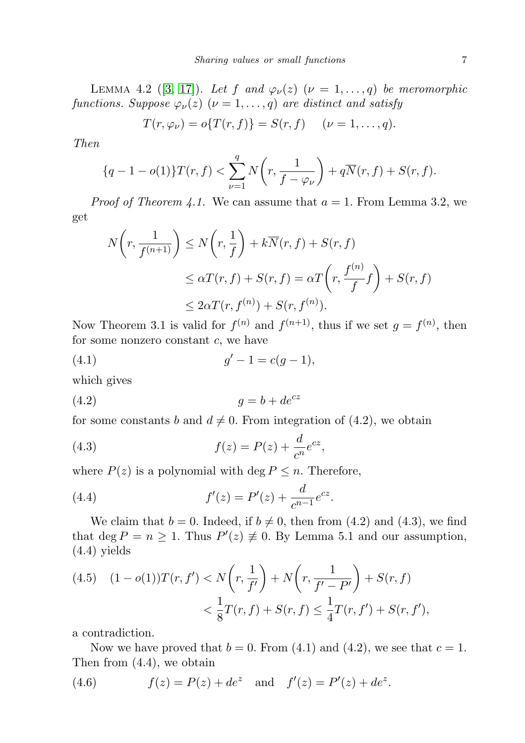LEMMA 4.2 ([\[3,](#page-10-14) [17\]](#page-10-3)). Let f and  $\varphi_{\nu}(z)$  ( $\nu = 1, \ldots, q$ ) be meromorphic functions. Suppose  $\varphi_{\nu}(z)$   $(\nu = 1, \ldots, q)$  are distinct and satisfy

$$
T(r, \varphi_{\nu}) = o\{T(r, f)\} = S(r, f) \quad (\nu = 1, ..., q).
$$

Then

$$
\{q-1-o(1)\}T(r,f) < \sum_{\nu=1}^{q} N\left(r, \frac{1}{f-\varphi_{\nu}}\right) + q\overline{N}(r,f) + S(r,f).
$$

*Proof of Theorem 4.1.* We can assume that  $a = 1$ . From Lemma 3.2, we get

$$
N\left(r, \frac{1}{f^{(n+1)}}\right) \le N\left(r, \frac{1}{f}\right) + k\overline{N}(r, f) + S(r, f)
$$
  

$$
\le \alpha T(r, f) + S(r, f) = \alpha T\left(r, \frac{f^{(n)}}{f}f\right) + S(r, f)
$$
  

$$
\le 2\alpha T(r, f^{(n)}) + S(r, f^{(n)}).
$$

Now Theorem 3.1 is valid for  $f^{(n)}$  and  $f^{(n+1)}$ , thus if we set  $g = f^{(n)}$ , then for some nonzero constant  $c$ , we have

(4.1) 
$$
g' - 1 = c(g - 1),
$$

which gives

$$
(4.2) \t\t g = b + de^{cz}
$$

for some constants b and  $d \neq 0$ . From integration of (4.2), we obtain

(4.3) 
$$
f(z) = P(z) + \frac{d}{c^n} e^{cz},
$$

where  $P(z)$  is a polynomial with deg  $P \leq n$ . Therefore,

(4.4) 
$$
f'(z) = P'(z) + \frac{d}{c^{n-1}}e^{cz}.
$$

We claim that  $b = 0$ . Indeed, if  $b \neq 0$ , then from (4.2) and (4.3), we find that deg  $P = n \ge 1$ . Thus  $P'(z) \neq 0$ . By Lemma 5.1 and our assumption, (4.4) yields

(4.5) 
$$
(1 - o(1))T(r, f') < N\left(r, \frac{1}{f'}\right) + N\left(r, \frac{1}{f' - P'}\right) + S(r, f) \\
&< \frac{1}{8}T(r, f) + S(r, f) \le \frac{1}{4}T(r, f') + S(r, f'),
$$

a contradiction.

Now we have proved that  $b = 0$ . From (4.1) and (4.2), we see that  $c = 1$ . Then from (4.4), we obtain

(4.6) 
$$
f(z) = P(z) + de^z
$$
 and  $f'(z) = P'(z) + de^z$ .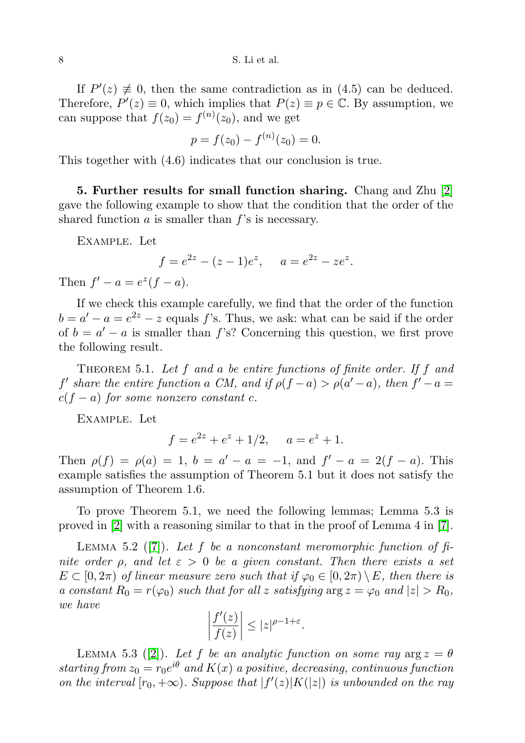If  $P'(z) \neq 0$ , then the same contradiction as in (4.5) can be deduced. Therefore,  $P'(z) \equiv 0$ , which implies that  $P(z) \equiv p \in \mathbb{C}$ . By assumption, we can suppose that  $f(z_0) = f^{(n)}(z_0)$ , and we get

$$
p = f(z_0) - f^{(n)}(z_0) = 0.
$$

This together with (4.6) indicates that our conclusion is true.

5. Further results for small function sharing. Chang and Zhu [\[2\]](#page-10-12) gave the following example to show that the condition that the order of the shared function  $\alpha$  is smaller than  $f$ 's is necessary.

Example. Let

$$
f = e^{2z} - (z - 1)e^{z}, \quad a = e^{2z} - ze^{z}.
$$

Then  $f' - a = e^{z}(f - a)$ .

If we check this example carefully, we find that the order of the function  $b = a' - a = e^{2z} - z$  equals f's. Thus, we ask: what can be said if the order of  $b = a' - a$  is smaller than f's? Concerning this question, we first prove the following result.

THEOREM 5.1. Let  $f$  and a be entire functions of finite order. If  $f$  and f' share the entire function a CM, and if  $\rho(f-a) > \rho(a'-a)$ , then  $f'-a =$  $c(f - a)$  for some nonzero constant c.

Example. Let

$$
f = e^{2z} + e^z + 1/2, \quad a = e^z + 1.
$$

Then  $\rho(f) = \rho(a) = 1$ ,  $b = a' - a = -1$ , and  $f' - a = 2(f - a)$ . This example satisfies the assumption of Theorem 5.1 but it does not satisfy the assumption of Theorem 1.6.

To prove Theorem 5.1, we need the following lemmas; Lemma 5.3 is proved in  $[2]$  with a reasoning similar to that in the proof of Lemma 4 in  $[7]$ .

LEMMA 5.2 ([\[7\]](#page-10-15)). Let f be a nonconstant meromorphic function of finite order  $\rho$ , and let  $\varepsilon > 0$  be a given constant. Then there exists a set  $E \subset [0, 2\pi)$  of linear measure zero such that if  $\varphi_0 \in [0, 2\pi) \setminus E$ , then there is a constant  $R_0 = r(\varphi_0)$  such that for all z satisfying  $\arg z = \varphi_0$  and  $|z| > R_0$ , we have

$$
\left|\frac{f'(z)}{f(z)}\right| \le |z|^{\rho - 1 + \varepsilon}.
$$

LEMMA 5.3 ([\[2\]](#page-10-12)). Let f be an analytic function on some ray  $\arg z = \theta$ starting from  $z_0 = r_0 e^{i\theta}$  and  $K(x)$  a positive, decreasing, continuous function on the interval  $[r_0, +\infty)$ . Suppose that  $|f'(z)|K(|z|)$  is unbounded on the ray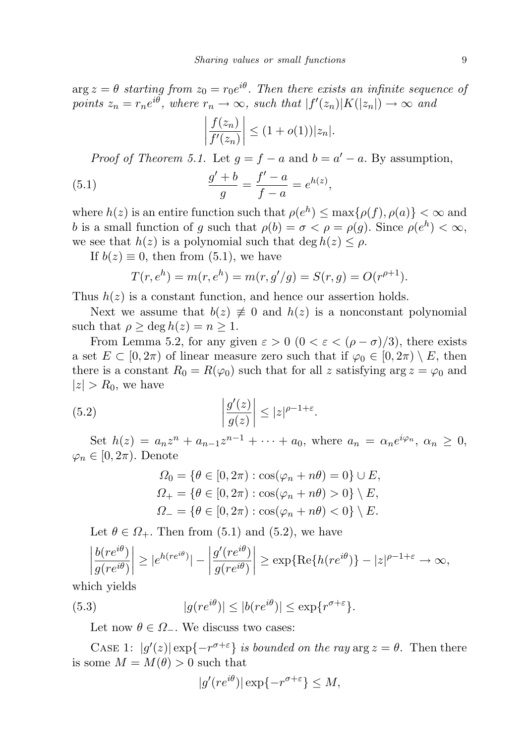$\arg z = \theta$  starting from  $z_0 = r_0 e^{i\theta}$ . Then there exists an infinite sequence of points  $z_n = r_n e^{i\theta}$ , where  $r_n \to \infty$ , such that  $|f'(z_n)|K(|z_n|) \to \infty$  and

$$
\left|\frac{f(z_n)}{f'(z_n)}\right| \le (1+o(1))|z_n|.
$$

*Proof of Theorem 5.1.* Let  $g = f - a$  and  $b = a' - a$ . By assumption,

(5.1) 
$$
\frac{g' + b}{g} = \frac{f' - a}{f - a} = e^{h(z)},
$$

where  $h(z)$  is an entire function such that  $\rho(e^h) \leq \max\{\rho(f), \rho(a)\} < \infty$  and b is a small function of g such that  $\rho(b) = \sigma < \rho = \rho(g)$ . Since  $\rho(e^h) < \infty$ , we see that  $h(z)$  is a polynomial such that deg  $h(z) \leq \rho$ .

If  $b(z) \equiv 0$ , then from (5.1), we have

$$
T(r, e^h) = m(r, e^h) = m(r, g'/g) = S(r, g) = O(r^{\rho+1}).
$$

Thus  $h(z)$  is a constant function, and hence our assertion holds.

Next we assume that  $b(z) \neq 0$  and  $h(z)$  is a nonconstant polynomial such that  $\rho > \deg h(z) = n > 1$ .

From Lemma 5.2, for any given  $\varepsilon > 0$   $(0 < \varepsilon < (\rho - \sigma)/3)$ , there exists a set  $E \subset [0, 2\pi)$  of linear measure zero such that if  $\varphi_0 \in [0, 2\pi) \setminus E$ , then there is a constant  $R_0 = R(\varphi_0)$  such that for all z satisfying  $\arg z = \varphi_0$  and  $|z| > R_0$ , we have

(5.2) 
$$
\left|\frac{g'(z)}{g(z)}\right| \leq |z|^{\rho-1+\varepsilon}.
$$

Set  $h(z) = a_n z^n + a_{n-1} z^{n-1} + \cdots + a_0$ , where  $a_n = \alpha_n e^{i \varphi_n}$ ,  $\alpha_n \geq 0$ ,  $\varphi_n \in [0, 2\pi)$ . Denote

$$
\Omega_0 = \{ \theta \in [0, 2\pi) : \cos(\varphi_n + n\theta) = 0 \} \cup E,
$$
  
\n
$$
\Omega_+ = \{ \theta \in [0, 2\pi) : \cos(\varphi_n + n\theta) > 0 \} \setminus E,
$$
  
\n
$$
\Omega_- = \{ \theta \in [0, 2\pi) : \cos(\varphi_n + n\theta) < 0 \} \setminus E.
$$

Let  $\theta \in \Omega_+$ . Then from (5.1) and (5.2), we have

$$
\left|\frac{b(re^{i\theta})}{g(re^{i\theta})}\right| \ge |e^{h(re^{i\theta})}| - \left|\frac{g'(re^{i\theta})}{g(re^{i\theta})}\right| \ge \exp\{\text{Re}\{h(re^{i\theta})\} - |z|^{\rho-1+\varepsilon} \to \infty,
$$

which yields

(5.3) 
$$
|g(re^{i\theta})| \le |b(re^{i\theta})| \le \exp\{r^{\sigma+\varepsilon}\}.
$$

Let now  $\theta \in \Omega$ . We discuss two cases:

CASE 1:  $|g'(z)| \exp\{-r^{\sigma+\epsilon}\}\$ is bounded on the ray  $\arg z = \theta$ . Then there is some  $M = M(\theta) > 0$  such that

$$
|g'(re^{i\theta})| \exp\{-r^{\sigma+\varepsilon}\} \le M,
$$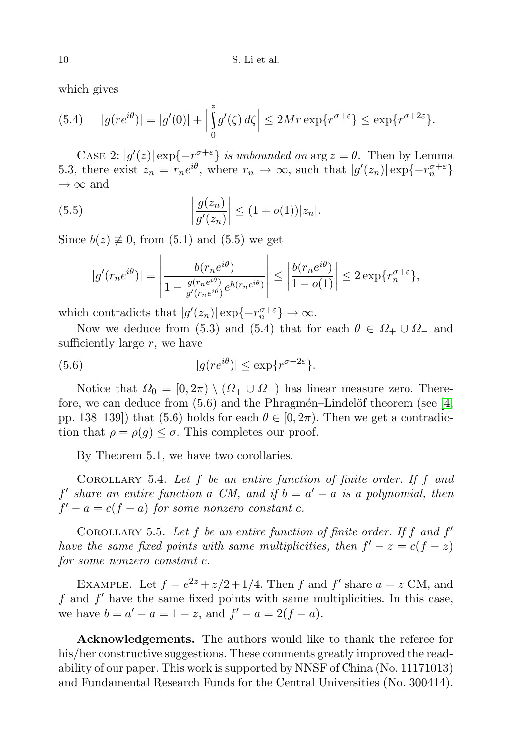which gives

(5.4) 
$$
|g(re^{i\theta})| = |g'(0)| + \left|\int_{0}^{z} g'(\zeta) d\zeta\right| \le 2Mr \exp\{r^{\sigma+\varepsilon}\} \le \exp\{r^{\sigma+2\varepsilon}\}.
$$

CASE 2:  $|g'(z)| \exp\{-r^{\sigma+\varepsilon}\}\$ is unbounded on  $\arg z = \theta$ . Then by Lemma 5.3, there exist  $z_n = r_n e^{i\theta}$ , where  $r_n \to \infty$ , such that  $|g'(z_n)| \exp\{-r_n^{\sigma+\varepsilon}\}\$  $\rightarrow \infty$  and

(5.5) 
$$
\left| \frac{g(z_n)}{g'(z_n)} \right| \le (1 + o(1)) |z_n|.
$$

Since  $b(z) \neq 0$ , from (5.1) and (5.5) we get

$$
|g'(r_ne^{i\theta})| = \left|\frac{b(r_ne^{i\theta})}{1 - \frac{g(r_ne^{i\theta})}{g'(r_ne^{i\theta})}e^{h(r_ne^{i\theta})}}\right| \le \left|\frac{b(r_ne^{i\theta})}{1 - o(1)}\right| \le 2\exp\{r_n^{\sigma+\varepsilon}\},
$$

which contradicts that  $|g'(z_n)| \exp\{-r_n^{\sigma+\varepsilon}\}\to\infty$ .

Now we deduce from (5.3) and (5.4) that for each  $\theta \in \Omega_+ \cup \Omega_-$  and sufficiently large  $r$ , we have

(5.6) 
$$
|g(re^{i\theta})| \le \exp\{r^{\sigma+2\varepsilon}\}.
$$

Notice that  $\Omega_0 = [0, 2\pi) \setminus (\Omega_+ \cup \Omega_-)$  has linear measure zero. Therefore, we can deduce from  $(5.6)$  and the Phragmén–Lindelöf theorem (see [\[4,](#page-10-16) pp. 138–139) that (5.6) holds for each  $\theta \in [0, 2\pi)$ . Then we get a contradiction that  $\rho = \rho(g) \leq \sigma$ . This completes our proof.

By Theorem 5.1, we have two corollaries.

COROLLARY 5.4. Let  $f$  be an entire function of finite order. If  $f$  and  $f'$  share an entire function a CM, and if  $b = a' - a$  is a polynomial, then  $f' - a = c(f - a)$  for some nonzero constant c.

COROLLARY 5.5. Let  $f$  be an entire function of finite order. If  $f$  and  $f'$ have the same fixed points with same multiplicities, then  $f' - z = c(f - z)$ for some nonzero constant c.

EXAMPLE. Let  $f = e^{2z} + \frac{z}{2} + \frac{1}{4}$ . Then f and f' share  $a = z$  CM, and  $f$  and  $f'$  have the same fixed points with same multiplicities. In this case, we have  $b = a' - a = 1 - z$ , and  $f' - a = 2(f - a)$ .

Acknowledgements. The authors would like to thank the referee for his/her constructive suggestions. These comments greatly improved the readability of our paper. This work is supported by NNSF of China (No. 11171013) and Fundamental Research Funds for the Central Universities (No. 300414).